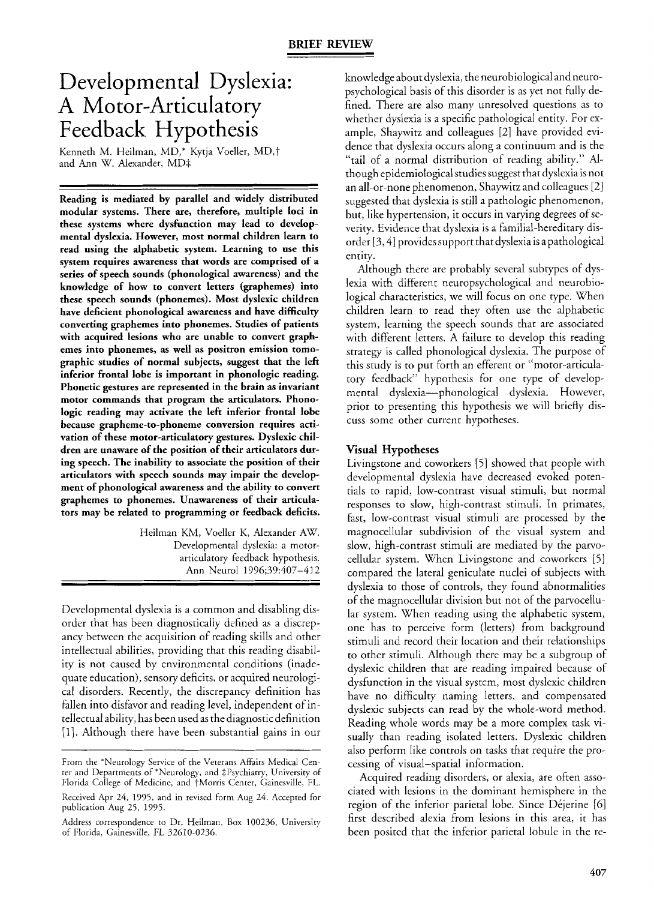# Developmental Dyslexia: A Motor-Articulatory Feedback Hypothesis

Kenneth M. Heilman, MD,\* Kytja Voeller, MD,† and Ann W. Alexander, MD‡

Reading is mediated by parallel and widely distributed modular systems. There are, therefore, multiple loci in these systems where dysfunction may lead to developmental dyslexia. However, most normal children learn to read using the alphabetic system. Learning to use this system requires awareness that words are comprised of a series of speech sounds (phonological awareness) and the knowledge of how to conyert letters (graphemes) into these speech sounds (phonemes). Most dyslexic children have deficient phonological awareness and have difficulty converting graphemes into phonemes. Studies of patients with acquired lesions who are unable to convert graphemes into phonemes, as well as positron emission tomographic studies of normal subjects, suggest that the left inferior frontal lobe is important in phonologic reading. Phonetic gestures are represented in the brain as invariant motor commands that program the articulators. Phonologic reading may activate the left inferior frontal lobe because grapheme-to-phoneme conversion requires activation of these motor-articulatory gestures. Dyslexic children are unaware of the position of their articulators during speech. The inability to associate the position of their articulators with speech sounds may impair the development of phonological awareness and the ability to convert graphemes to phonemes. Unawareness of their articulators may be related to programming or feedback deficits.

> Heilman KM, Voeller K, Alexander AW. Developmental dyslexia: a motorarticulatory feedback hypothesis. Ann Neurol *1996;39:407-412*

Developmental dyslexia is a common and disabling disorder that has been diagnostically defined as a discrepancy between the acquisition of reading skills and other intellectual abilities, providing that this reading disability is not caused by environmental conditions (inadequate education), sensory deficits, or acquired neurological disorders. Recently, the discrepancy definition has fallen into disfavor and reading level, independent of intellectual ability, has been used as the diagnostic definition [l]. Although there have been substantial gains in our knowledge about dyslexia, the neurobiological and neuropsychological basis of this disorder is as yet not fully defined. There are also many unresolved questions as to whether dyslexia is a specific pathological entity. For example, Shaywitz and colleagues [2] have provided evidence that dyslexia occurs along a continuum and is the "tail of a normal distribution of reading ability." Although epidemiologicalstudies suggest thatdyslexiais not an all-or-none phenomenon, Shaywitz and colleagues [2] suggested that dyslexia is still a pathologic phenomenon, but, like hypertension, it occurs in varying degrees of severity. Evidence that dyslexia is a familial-hereditary disorder *[3,4]* provides support that dyslexiais a pathological entity.

Although there are probably several subtypes of dyslexia with different neuropsychological and neurobiological characteristics, we will focus on one type. When children learn to read they often use the alphabetic system, learning the speech sounds that are associated with different letters. A failure to develop this reading strategy is called phonological dyslexia. The purpose of this study is to put forth an efferent or "motor-articulatory feedback" hypothesis for one type of developmental dyslexia-phonological dyslexia. However, prior to presenting this hypothesis **we** will briefly discuss some other current hypotheses.

#### **Visual Hypotheses**

Livingstone and coworkers *[5]* showed that people with developmental dyslexia have decreased evoked potentials to rapid, low-contrast visual stimuli, but normal responses to slow, high-contrast stimuli. In primates, fast, low-contrast visual stimuli are processed by the magnocellular subdivision of the visual system and slow, high-contrast stimuli are mediated by the parvocellular system. When Livingstone and coworkers [ 51 compared the lateral geniculate nuclei of subjects with dyslexia to those of controls, they found abnormalities of the magnocellular division but not of the parvocellular system. When reading using the alphabetic system, one has to perceive form (letters) from background stimuli and record their location and their relationships to other stimuli. Although there may be a subgroup of dyslexic children that are reading impaired because of dysfunction in the visual system, most dyslexic children have no difficulty naming letters, and compensated dyslexic subjects can read by the whole-word method. Reading whole words may be a more complex task visually than reading isolated letters. Dyslexic children also perform like controls on tasks that require the processing of visual-spatial information.

Acquired reading disorders, or alexia, are often associated with lesions in the dominant hemisphere in the region of the inferior parietal lobe. Since Déjerine [6] first described alexia from lesions in this area, it has been posited that the inferior parietal lobule in the re-

From the \*Neurology Service of the Veterans Affairs Medical Center and Departments of \*Neurology, and ‡Psychiatry, University of Florida College of Medicine, and †Morris Center, Gainesville, FL.

Received Apr *24,* 1995, and in revised form Aug *24.* Accepted for publication Aug 25, 1995.

Address correspondence to Dr. Heilman, Box 100236, University of Florida, Gainesville, FL *32610-0236.*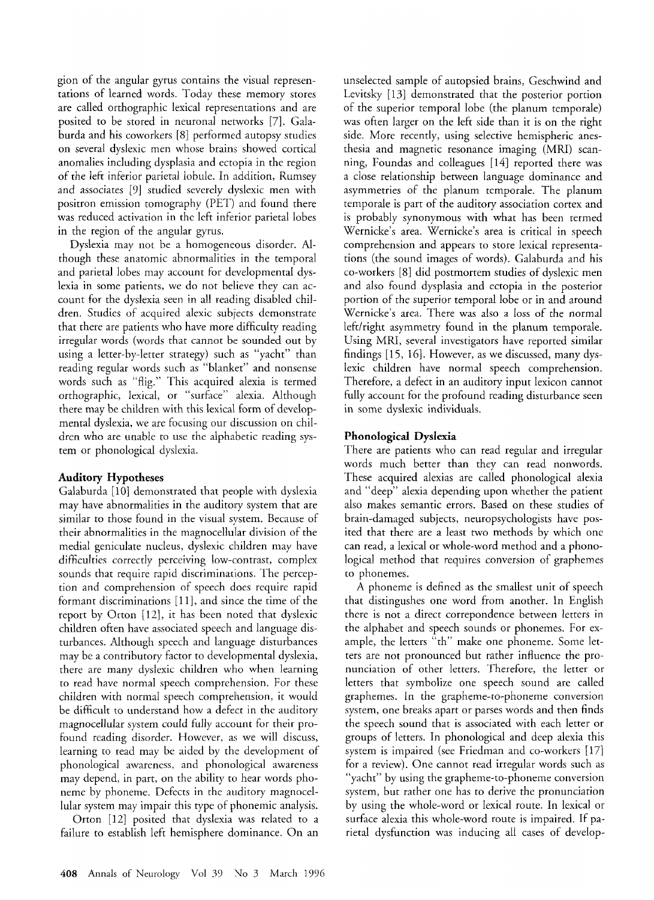gion of the angular gyrus contains the visual representations of learned words. Today these memory stores are called orthographic lexical representations and are posited to be stored in neuronal networks *[7].* Galaburda and his coworkers [8] performed autopsy studies on several dyslexic men whose brains showed cortical anomalies including dysplasia and ectopia in the region of the left inferior parietal lobule. In addition, Rumsey and associates [9] studied severely dyslexic men with positron emission tomography (PET) and found there was reduced activation in the left inferior parietal lobes in the region of the angular gyrus.

Dyslexia may not be a homogeneous disorder. Although these anatomic abnormalities in the temporal and parietal lobes may account for developmental dyslexia in some patients, we do not believe they can account for the dyslexia seen in all reading disabled children. Studies of acquired alexic subjects demonstrate that there are patients who have more difficulty reading irregular words (words that cannot be sounded out by using a letter-by-letter strategy) such as "yacht" than reading regular words such as "blanket" and nonsense words such as "flig." This acquired alexia is termed orthographic, lexical, or "surface" alexia. Although there may be children with this lexical form of developmental dyslexia, we are focusing our discussion on children who are unable to use the alphabetic reading system or phonological dyslexia.

## **Auditory Hypotheses**

Galaburda [10] demonstrated that people with dyslexia may have abnormalities in the auditory system that are similar to those found in the visual system. Because of their abnormalities in the magnocellular division of the medial geniculate nucleus, dyslexic children may have difficulties correctly perceiving low-contrast, complex sounds that require rapid discriminations. The perception and comprehension of speech does require rapid formant discriminations [11], and since the time of the report by Orton [12], it has been noted that dyslexic children often have associated speech and language disturbances. Although speech and language disturbances may be a contributory factor to developmental dyslexia, there are many dyslexic children who when learning to read have normal speech comprehension. For these children with normal speech comprehension, it would be difficult to understand how a defect in the auditory magnocellular system could fully account for their profound reading disorder. However, as we will discuss, learning to read may be aided by the development of phonological awareness, and phonological awareness may depend, in part, on the ability to hear words phoneme by phoneme. Defects in the auditory magnocellular system may impair this type of phonemic analysis.

Orton [I21 posited that dyslexia was related to a failure to establish left hemisphere dominance. On an unselected sample of autopsied brains, Geschwind and Levitsky [13] demonstrated that the posterior portion of the superior temporal lobe (the planum temporale) was often larger on the left side than it is on the right side. More recently, using selective hemispheric anesthesia and magnetic resonance imaging (MRI) scanning, Foundas and colleagues *1141* reported there was a close relationship between language dominance and asymmetries of the planum temporale. The planum temporale is part of the auditory association cortex and is probably synonymous with what has been termed Wernicke's area. Wernicke's area is critical in speech comprehension and appears to store lexical representations (the sound images of words). Galaburda and his co-workers [8] did postmortem studies of dyslexic men and also found dysplasia and ectopia in the posterior portion of the superior temporal lobe or in and around Wernicke's area. There was also a loss of the normal left/right asymmetry found in the planum temporale. Using MRI, several investigators have reported similar findings  $[15, 16]$ . However, as we discussed, many dyslexic children have normal speech comprehension. Therefore, a defect in an auditory input lexicon cannot fully account for the profound reading disturbance seen in some dyslexic individuals.

#### **Phonological Dyslexia**

There are patients who can read regular and irregular words much better than they can read nonwords. These acquired alexias are called phonological alexia and "deep" alexia depending upon whether the patient also makes semantic errors. Based on these studies of brain-damaged subjects, neuropsychologists have posited that there are a least two methods by which one can read, a lexical or whole-word method and a phonological method chat requires conversion of graphemes to phonemes.

A phoneme is defined as the smallest unit of speech that distingushes one word from another. In English there is not a direct correpondence between letters in the alphabet and speech sounds or phonemes. For example, the letters "th" make one phoneme. Some letters are not pronounced but rather influence the pronunciation of other letters. Therefore, the letter or letters that symbolize one speech sound are called graphemes. In the grapheme-to-phoneme conversion system, one breaks apart or parses words and then finds the speech sound that is associated with each letter or groups of letters. In phonological and deep alexia this system is impaired (see Friedman and co-workers [17] for a review). One cannot read irregular words such as "yacht" by using the grapheme-to-phoneme conversion system, but rather one has to derive the pronunciation by using the whole-word or lexical route. In lexical or surface alexia this whole-word route is impaired. If parietal dysfunction was inducing all cases of develop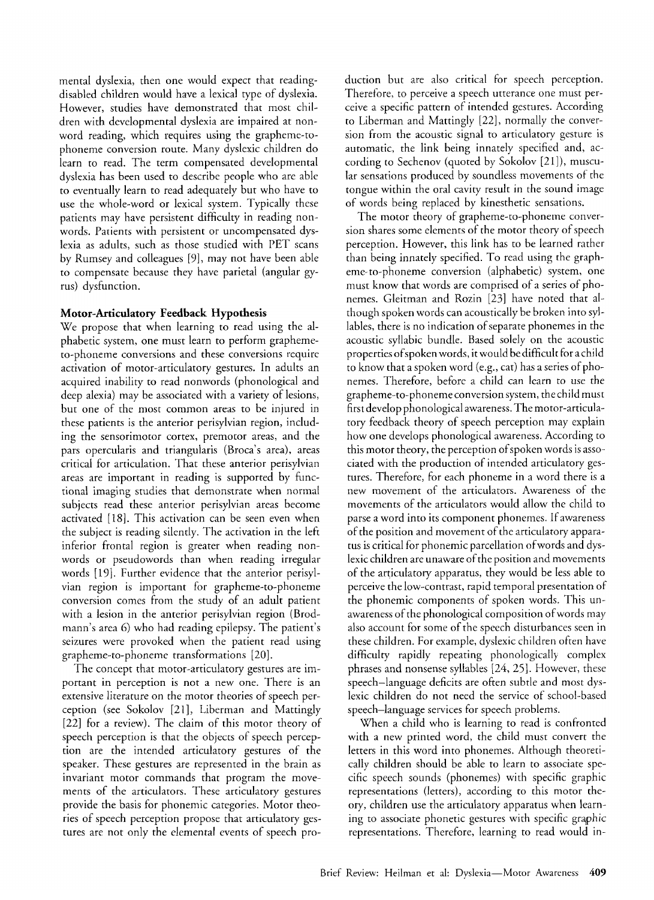mental dyslexia, then one would expect that readingdisabled children would have a lexical type of dyslexia. However, studies have demonstrated that most children with developmental dyslexia are impaired at nonword reading, which requires using the grapheme-tophoneme conversion route. Many dyslexic children do learn to read. The term compensated developmental dyslexia has been used to describe people who are able to eventually learn to read adequately but who have to use the whole-word or lexical system. Typically these patients may have persistent difficulty in reading nonwords. Patients with persistent or uncompensated dyslexia as adults, such as those studied with PET scans by Rumsey and colleagues [9], may not have been able to compensate because they have parietal (angular *gy*rus) dysfunction.

## **Motor-Articulatory Feedback Hypothesis**

We propose that when learning to read using the alphabetic system, one must learn to perform graphemeto-phoneme conversions and these conversions require activation of motor-articulatory gestures. In adults an acquired inability to read nonwords (phonological and deep alexia) may be associated with a variety of lesions, but one of the most common areas to be injured in these patients is the anterior perisylvian region, including the sensorimotor cortex, premotor areas, and the pars opercularis and triangularis (Broca's area), areas critical for articulation. That these anterior perisylvian areas are important in reading is supported by functional imaging studies that demonstrate when normal subjects read these anterior perisylvian areas become activated [18]. This activation can be seen even when the subject is reading silently. The activation in the left inferior frontal region is greater when reading nonwords ot pseudowords than when reading irregular words [19]. Further evidence that the anterior perisylvian region is important for grapheme-to-phoneme conversion comes from the study of an adult patient with a lesion in the anterior perisylvian region (Brodmann's area 6) who had reading epilepsy. The patient's seizures were provoked when the patient read using grapheme-to-phoneme transformations [ *201.* 

The concept that motor-articulatory gestures are important in perception is not a new one. There is an extensive literature on the motor theories of speech perception (see Sokolov [21], Liberman and Mattingly *[22]* for a review). The claim of this motor theory of speech perception is that the objects of speech perception are the intended articulatory gestures of the speaker. These gestures are represented in the brain as invariant motor commands that program the movements of the articulators. These articulatory gestures provide the basis for phonemic categories. Motor theories of speech perception propose that articulatory gestures are not only the elemental events of speech production but are also critical for speech perception. Therefore, to perceive a speech utterance one must perceive a specific pattern of intended gestures. According to Liberman and Mattingly *[22],* normally the conversion from the acoustic signal to articulatory gesture is automatic, the link being innately specified and, according to Sechenov (quoted by Sokolov [21]), muscular sensations produced by soundless movements of the tongue within the oral cavity result in the sound image of words being replaced by kinesthetic sensations.

The motor theory of grapheme-to-phoneme conversion shares some elements of the motor theory of speech perception. However, this link has to be learned rather than being innately specified. To read using the grapheme-to-phoneme conversion (alphabetic) system, one must know that words are comprised of a series of phonemes. Gleitman and Rozin *[23]* have noted that although spoken words can acoustically be broken into syllables, there is no indication of separate phonemes in the acoustic syllabic bundle. Based solely on the acoustic propertiesofspokenwords, it would bedifficult forachild to know that a spoken word (e.g., cat) has a series of phonemes. Therefore, before a child can learn to use the grapheme-to-phoneme conversion system, the child must first develop phonological awareness. The motor-articulatory feedback theory of speech perception may explain how one develops phonological awareness. According to this motor theory, the perception of spoken words is associated with the production of intended articulatory gestures. Therefore, for each phoneme in a word there is a new movement of the articulators. Awareness of the movements of the articulators would allow the child to parse a word into its component phonemes. If awareness of the position and movement of the articulatory apparatus is critical for phonemic parcellation ofwords and dyslexic children are unaware of the position and movements of the articulatory apparatus, they would be less able to perceive the low-contrast, rapid temporal presentation of the phonemic components of spoken words. This unawareness of the phonological composition of words may also account for some of the speech disturbances seen in these children. For example, dyslexic children often have difficulty rapidly repeating phonologically complex phrases and nonsense syllables *[24,* 251. However, these speech-language deficits are often subtle and most dyslexic children do not need the service of school-based speech-language services for speech problems.

When a child who is learning to read is confronted with a new printed word, the child must convert the letters in this word into phonemes. Although theoretically children should be able to learn to associate specific speech sounds (phonemes) with specific graphic representations (letters), according to this motor theory, children use the articulatory apparatus when learning to associate phonetic gestures with specific graphic representations. Therefore, learning to read would in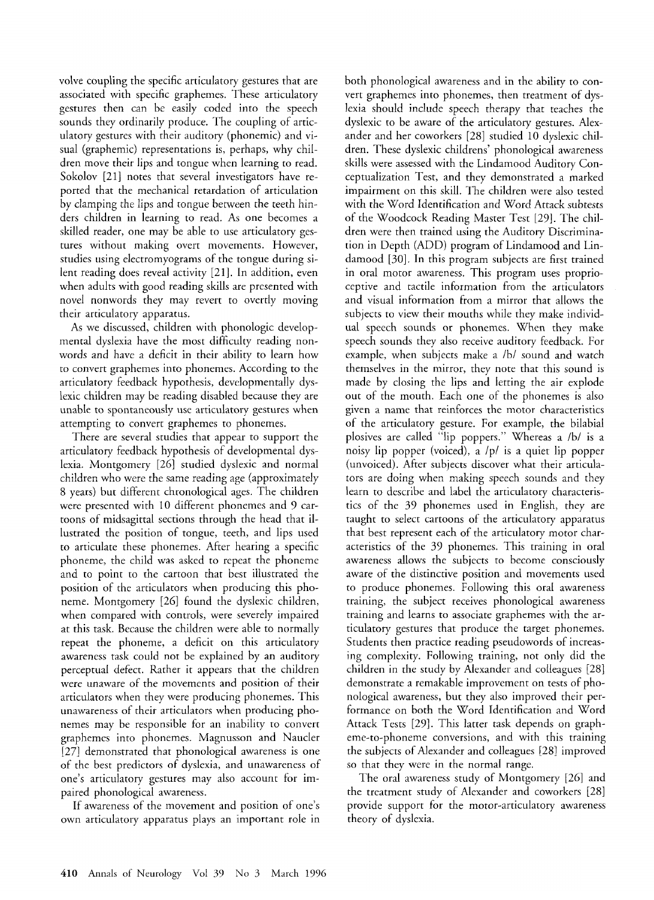volve coupling the specific articulatory gestures that are associated with specific graphemes. These articulatory gestures then can be easily coded into the speech sounds they ordinarily produce. The coupling of articulatory gestures with their auditory (phonemic) and visual (graphemic) representations is, perhaps, why children move their lips and tongue when learning to read. Sokolov [21] notes that several investigators have reported that the mechanical retardation of articulation by clamping the lips and tongue between the teeth hinders children in learning to read. As one becomes a skilled reader, one may be able to use articulatory gestures without making overt movements. However, studies using electromyograms of the tongue during silent reading does reveal activity [21]. In addition, even when adults with good reading skills are presented with novel nonwords they may revert to overtly moving their articulatory apparatus.

As we discussed, children with phonologic developmental dyslexia have the most difficulty reading nonwords and have a deficit in their ability to learn how to convert graphemes into phonemes. According to the articulatory feedback hypothesis, developmentally dyslexic children may be reading disabled because they are unable to spontaneously use articulatory gestures when attempting to convert graphemes to phonemes.

There are several studies that appear to support the articulatory feedback hypothesis of developmental dyslexia. Montgomery [26] studied dyslexic and normal children who were the same reading age (approximately 8 years) but different chronological ages. The children were presented with 10 different phonemes and 9 cartoons of midsagittal sections through the head that illustrated the position of tongue, teeth, and lips used to articulate these phonemes. After hearing a specific phoneme, the child was asked to repeat the phoneme and to point to the cartoon that best illustrated the position of the articulators when producing this phoneme. Montgomery [26] found the dyslexic children, when compared with controls, were severely impaired at this task. Because the children were able to normally repeat the phoneme, a deficit on this articulatory awareness task could not be explained by an auditory perceptual defect. Rather it appears that the children were unaware of the movements and position of their articulators when they were producing phonemes. This unawareness of their articulators when producing phonemes may be responsible for an inability to convert graphemes into phonemes. Magnusson and Naucler [27] demonstrated that phonological awareness is one of the best predictors of dyslexia, and unawareness of one's articulatory gestures may also account for impaired phonological awareness.

If awareness of the movement and position of one's own articulatory apparatus plays an important role in both phonological awareness and in the ability to convert graphemes into phonemes, then treatment of dyslexia should include speech therapy that teaches the dyslexic to be aware of the articulatory gestures. Alexander and her coworkers [28] studied 10 dyslexic children. These dyslexic childrens' phonological awareness skills were assessed with the Lindamood Auditory Conceptualization Test, and they demonstrated a marked impairment on this skill. The children were also tested with the Word Identification and Word Attack subtests of the Woodcock Reading Master Test [29]. The children were then trained using the Auditory Discrimination in Depth (ADD) program of Lindamood and Lindamood [30]. In this program subjects are first trained in oral motor awareness. This program uses proprioceptive and tactile information from the articulators and visual information from a mirror that allows the subjects to view their mouths while they make individual speech sounds or phonemes. When they make speech sounds they also receive auditory feedback. For example, when subjects make a /b/ sound and watch themselves in the mirror, they note that this sound is made by closing the lips and letting the air explode out of the mouth. Each one of the phonemes is also given a name that reinforces the motor characteristics of the articulatory gesture. For example, the bilabial plosives are called "lip poppers." Whereas a /b/ is a noisy lip popper (voiced), a *Ipl* is a quiet lip popper (unvoiced). After subjects discover what their articulators are doing when making speech sounds and they learn to describe and label the articulatory characteristics of the 39 phonemes used in English, they are taught to select cartoons of the articulatory apparatus that best represent each of the articulatory motor characteristics of the 33 phonemes. This training in oral awareness allows the subjects to become consciously aware of the distinctive position and movements used to produce phonemes. Following this oral awareness training, the subject receives phonological awareness training and learns to associate graphemes with the articulatory gestures that produce the target phonemes. Students then practice reading pseudowords of increasing complexity. Following training, not only did the children in the study by Alexander and colleagues [28] demonstrate a remakable improvement on tests of phonological awareness, but they also improved their performance on both the Word Identification and Word Attack Tests *[29].* This latter task depends on grapheme-to-phoneme conversions, and with this training the subjects of Alexander and colleagues [28] improved so that they were in the normal range.

The oral awareness study of Montgomery [26] and the treatment study of Alexander and coworkers [28] provide support for the motor-articulatory awareness theory of dyslexia.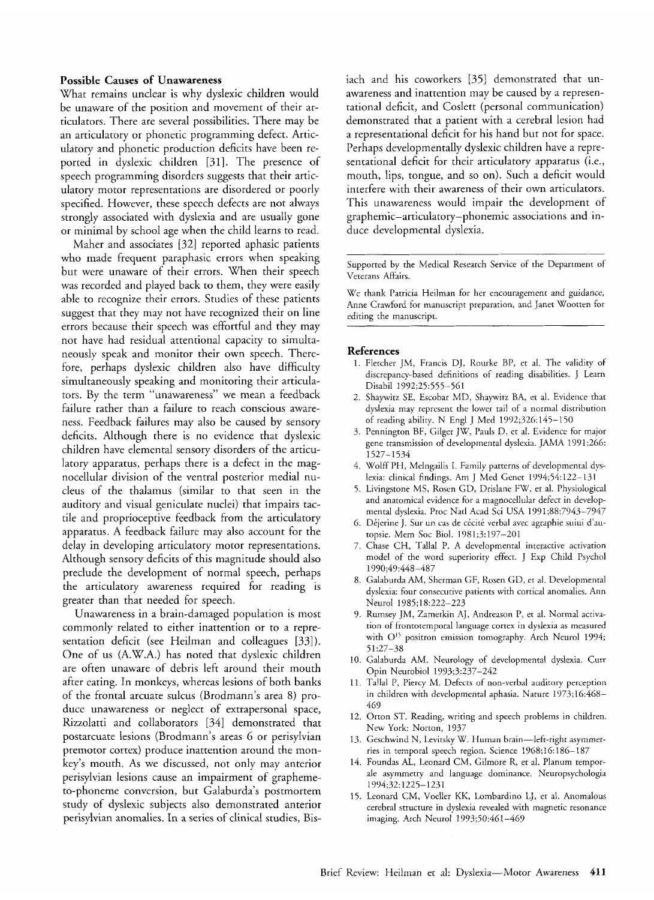#### **Possible Causes of Unawareness**

What remains unclear is why dyslexic children would be unaware of the position and movement of their articulators. There are several possibilities. There may be an articulatory or phonetic programming defect. Articulatory and phonetic production deficits have been reported in dyslexic children [31]. The presence of speech programming disorders suggests that their articulatory motor representations are disordered or poorly specified. However, these speech defects are not always strongly associated with dyslexia and are usually gone or minimal by school age when the child learns to read.

Maher and associates [32] reported aphasic patients who made frequent paraphasic errors when speaking but were unaware of their errors. When their speech was recorded and played back to them, they were easily able to recognize their errors. Studies of these patients suggest that they may not have recognized their on line errors because their speech was effortful and they may not have had residual attentional capacity to simultaneously speak and monitor their own speech. Therefore, perhaps dyslexic children also have difficulty simultaneously speaking and monitoring their articulators. By the term "unawareness" we mean a feedback failure rather than a failure to reach conscious awareness. Feedback failures may also be caused by sensory deficits. Although there is no evidence that dyslexic children have elemental sensory disorders of the articulatory apparatus, perhaps there is a defect in the magnocellular division of the ventral posterior medial nucleus of the thalamus (similar to that seen in the auditory and visual geniculate nuclei) that impairs tactile and proprioceptive feedback from the articulatory apparatus. A feedback failure may also account for the delay in developing articulatory motor representations. Although sensory deficits of this magnitude should also preclude the development of normal speech, perhaps the articulatory awareness required for reading is greater than that needed for speech.

Unawareness in a brain-damaged population is most commonly related to either inattention or to a representation deficit (see Heilman and colleagues [33]). One of us (A.W.A.) has noted that dyslexic children are often unaware of debris left around their mouth after eating. In monkeys, whereas lesions of both banks of the frontal arcuate sulcus (Brodmann's area 8) produce unawareness or neglect of extrapersonal space, Rizzolatti and collaborators [34] demonstrated that postarcuate lesions (Brodmann's areas 6 or perisylvian premotor cortex) produce inattention around the monkey's mouth. As we discussed, not only may anterior perisylvian lesions cause an impairment of graphemeto-phoneme conversion, but Galaburda's postmortem study of dyslexic subjects also demonstrated anterior perisylvian anomalies. In a series of clinical studies, Bisiach and his coworkers [35] demonstrated that unawareness and inattention may be caused by a representational deficit, and Coslett (personal communication) demonstrated that a patient with a cerebral lesion had a representational deficit for his hand but not for space. Perhaps developmentally dyslexic children have a representational deficit for their articulatory apparatus (i.e., mouth, lips, tongue, and so on). Such a deficit would interfere with their awareness of their own articulators. This unawareness would impair the development of graphemic-articulatory-phonemic associations and induce developmental dyslexia.

Supported by the Medical Research Service of the Department of Veterans Affairs.

We thank Patricia Heilman for her encouragement and guidance, Anne Crawford for manuscript preparation, and Janet Wootten for editing the manuscript.

#### **References**

- 1. Fletcher JM, Francis DJ, Rourke BP, et al. The validity of discrepancy-based definitions of reading disabilities. J Learn Disabil 1992;25:555-561
- 2. Shaywitz SE, Escobar MD, Shaywitz BA, et al. Evidence that dyslexia may represent the lower tail of a normal distribution of reading ability. N Engl J Med 1992;326:145-150
- 3. Pennington BF, Gilger JW, Pads D, et al. Evidence for major gene transmission of developmental dyslexia. JAMA 1991;266: 1527- 1534
- *4.*  Wolff PH, Melngailis I. Family patterns of developmental dyslexia: clinical findings. Am J Med Genet 1994;54:122-131
- *5.*  Livingstone MS, Rosen GD, Drislane FW, et al. Physiological and anatomical evidence for a magnocellular defect in developmental dyslexia. Proc Natl Acad Sci USA 1991;88:7943-7947
- 6. Déjerine J. Sur un cas de cécité verbal avec agraphie suiui d'autopsie. Mem Soc Biol. 1981;3:197-201
- 7. Chase CH, Tallal P. A developmental interactive activation model of the word superiority effect. J Exp Child Psycho1 1990;49:448-487
- 8. Galaburda AM, Sherman GF, Kosen GD, et al. Developmental dyslexia: four consecutive patients with cortical anomalies. Ann Neurol 1985;18:222-223
- 9. Rumsey JM, Zametkin AJ, Andreason P, et al. Normal activation of fronrotemporal language cortex in dyslexia as measured with  $O^{15}$  positron emission tomography. Arch Neurol 1994; *5* 1 :27-38
- 10. Galaburda AM. Neurology of developmental dyslexia. Curt Opin Neurobiol 1993;3:237-242
- 11. Ta!lal P, Piercy M. Defects of non-verbal auditory perception in children with developmental aphasia. Nature 1973;16:468- *469*
- 12. Orton ST. Reading, writing and speech problems in children. New York: Norton, 1937
- 13. Geschwind N, Levitsky W. Human brain-left-right asymrnetries in temporal speech region. Science 1968;16:186-187
- 14. Foundas AL, Leonard CM, Gilmore R, et al. Planum temporale asymmetry and language dominance. Neuropsychologia 1994;32: 1225- 123 1
- 15. Leonard CM, Voeller KK, Lombardino LJ, et al. Anomalous cerebral structure in dyslexia revealed with magnetic resonance imaging. Arch Neurol 1993;50:461-469